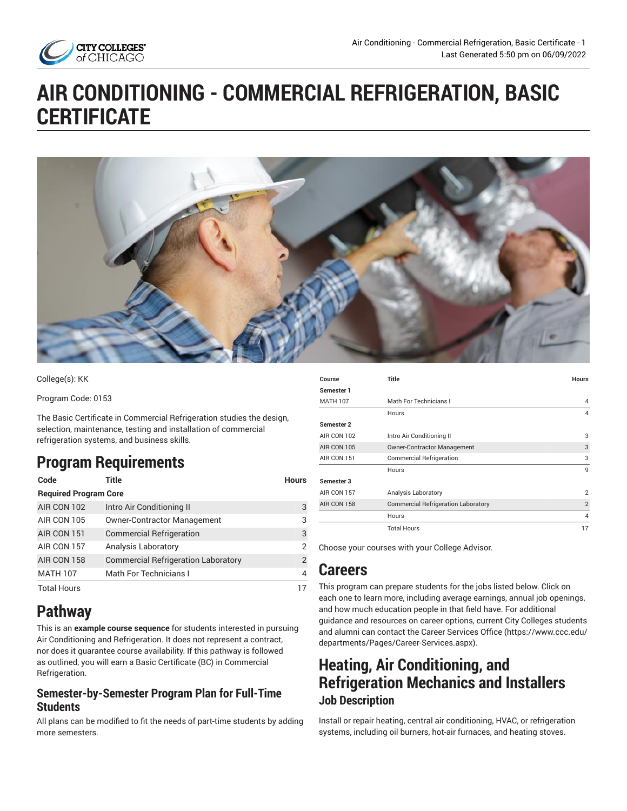

# **AIR CONDITIONING - COMMERCIAL REFRIGERATION, BASIC CERTIFICATE**



College(s): KK

Program Code: 0153

The Basic Certificate in Commercial Refrigeration studies the design, selection, maintenance, testing and installation of commercial refrigeration systems, and business skills.

# **Program Requirements**

| Code                         | Title                                      | <b>Hours</b> |
|------------------------------|--------------------------------------------|--------------|
| <b>Required Program Core</b> |                                            |              |
| AIR CON 102                  | Intro Air Conditioning II                  | 3            |
| AIR CON 105                  | <b>Owner-Contractor Management</b>         | 3            |
| AIR CON 151                  | <b>Commercial Refrigeration</b>            | 3            |
| AIR CON 157                  | Analysis Laboratory                        | 2            |
| AIR CON 158                  | <b>Commercial Refrigeration Laboratory</b> | 2            |
| <b>MATH 107</b>              | Math For Technicians I                     | 4            |
| <b>Total Hours</b>           |                                            |              |

# **Pathway**

This is an **example course sequence** for students interested in pursuing Air Conditioning and Refrigeration. It does not represent a contract, nor does it guarantee course availability. If this pathway is followed as outlined, you will earn a Basic Certificate (BC) in Commercial Refrigeration.

#### **Semester-by-Semester Program Plan for Full-Time Students**

All plans can be modified to fit the needs of part-time students by adding more semesters.

| Course          | <b>Title</b>                               | <b>Hours</b>   |
|-----------------|--------------------------------------------|----------------|
| Semester 1      |                                            |                |
| <b>MATH 107</b> | Math For Technicians I                     | 4              |
|                 | Hours                                      | 4              |
| Semester 2      |                                            |                |
| AIR CON 102     | Intro Air Conditioning II                  | 3              |
| AIR CON 105     | <b>Owner-Contractor Management</b>         | 3              |
| AIR CON 151     | <b>Commercial Refrigeration</b>            | 3              |
|                 | Hours                                      | 9              |
| Semester 3      |                                            |                |
| AIR CON 157     | Analysis Laboratory                        | $\overline{2}$ |
| AIR CON 158     | <b>Commercial Refrigeration Laboratory</b> | $\overline{2}$ |
|                 | Hours                                      | 4              |
|                 | <b>Total Hours</b>                         | 17             |

Choose your courses with your College Advisor.

## **Careers**

This program can prepare students for the jobs listed below. Click on each one to learn more, including average earnings, annual job openings, and how much education people in that field have. For additional guidance and resources on career options, current City Colleges students and alumni can contact the Career [Services](https://www.ccc.edu/departments/Pages/Career-Services.aspx) Office [\(https://www.ccc.edu/](https://www.ccc.edu/departments/Pages/Career-Services.aspx) [departments/Pages/Career-Services.aspx\)](https://www.ccc.edu/departments/Pages/Career-Services.aspx).

# **Heating, Air Conditioning, and Refrigeration Mechanics and Installers Job Description**

Install or repair heating, central air conditioning, HVAC, or refrigeration systems, including oil burners, hot-air furnaces, and heating stoves.